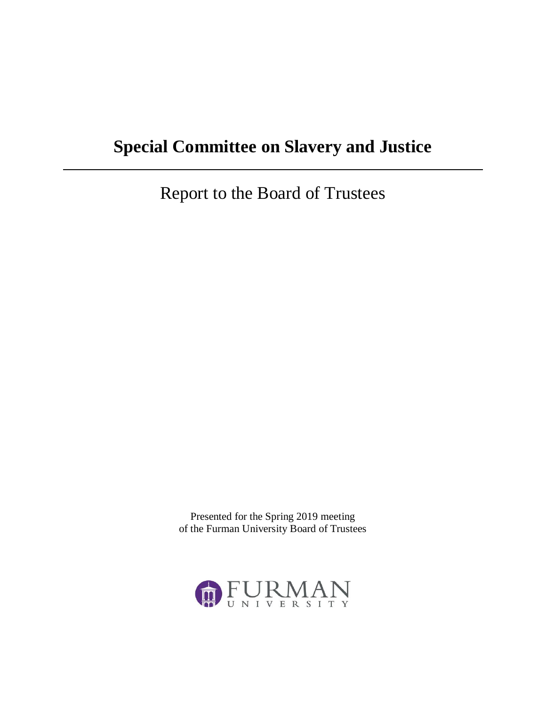# **Special Committee on Slavery and Justice**

Report to the Board of Trustees

Presented for the Spring 2019 meeting of the Furman University Board of Trustees

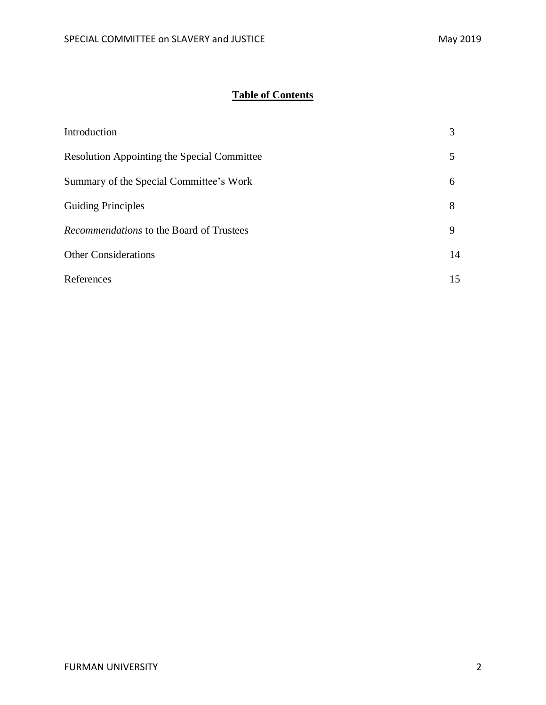# **Table of Contents**

| Introduction                                       |    |
|----------------------------------------------------|----|
| <b>Resolution Appointing the Special Committee</b> |    |
| Summary of the Special Committee's Work            | 6  |
| <b>Guiding Principles</b>                          | 8  |
| <i>Recommendations</i> to the Board of Trustees    | 9  |
| <b>Other Considerations</b>                        | 14 |
| References                                         | 15 |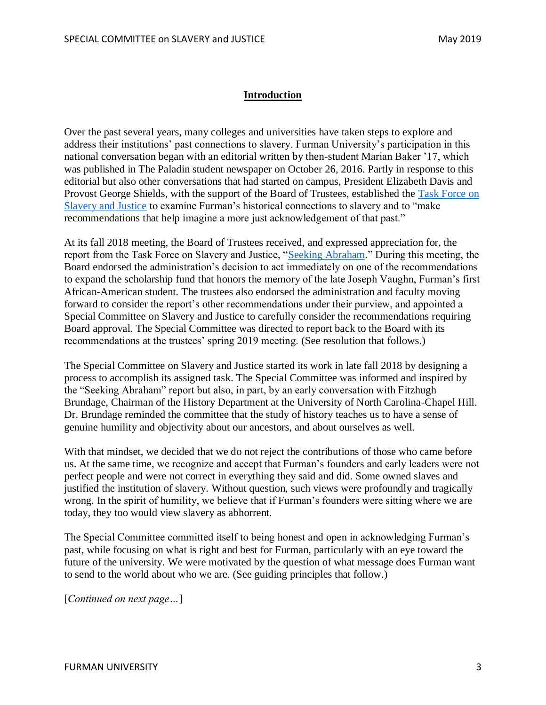#### **Introduction**

Over the past several years, many colleges and universities have taken steps to explore and address their institutions' past connections to slavery. Furman University's participation in this national conversation began with an editorial written by then-student Marian Baker '17, which was published in The Paladin student newspaper on October 26, 2016. Partly in response to this editorial but also other conversations that had started on campus, President Elizabeth Davis and Provost George Shields, with the support of the Board of Trustees, established the [Task Force on](https://www.furman.edu/about/task-force-on-slavery-and-justice/)  [Slavery and Justice](https://www.furman.edu/about/task-force-on-slavery-and-justice/) to examine Furman's historical connections to slavery and to "make recommendations that help imagine a more just acknowledgement of that past."

At its fall 2018 meeting, the Board of Trustees received, and expressed appreciation for, the report from the Task Force on Slavery and Justice, ["Seeking Abraham.](https://www.furman.edu/wp-content/uploads/2018/07/Seeking_Abraham_Furman_Task_Force_on_Slavery_and_Justice_Report.pdf)" During this meeting, the Board endorsed the administration's decision to act immediately on one of the recommendations to expand the scholarship fund that honors the memory of the late Joseph Vaughn, Furman's first African-American student. The trustees also endorsed the administration and faculty moving forward to consider the report's other recommendations under their purview, and appointed a Special Committee on Slavery and Justice to carefully consider the recommendations requiring Board approval. The Special Committee was directed to report back to the Board with its recommendations at the trustees' spring 2019 meeting. (See resolution that follows.)

The Special Committee on Slavery and Justice started its work in late fall 2018 by designing a process to accomplish its assigned task. The Special Committee was informed and inspired by the "Seeking Abraham" report but also, in part, by an early conversation with Fitzhugh Brundage, Chairman of the History Department at the University of North Carolina-Chapel Hill. Dr. Brundage reminded the committee that the study of history teaches us to have a sense of genuine humility and objectivity about our ancestors, and about ourselves as well.

With that mindset, we decided that we do not reject the contributions of those who came before us. At the same time, we recognize and accept that Furman's founders and early leaders were not perfect people and were not correct in everything they said and did. Some owned slaves and justified the institution of slavery. Without question, such views were profoundly and tragically wrong. In the spirit of humility, we believe that if Furman's founders were sitting where we are today, they too would view slavery as abhorrent.

The Special Committee committed itself to being honest and open in acknowledging Furman's past, while focusing on what is right and best for Furman, particularly with an eye toward the future of the university. We were motivated by the question of what message does Furman want to send to the world about who we are. (See guiding principles that follow.)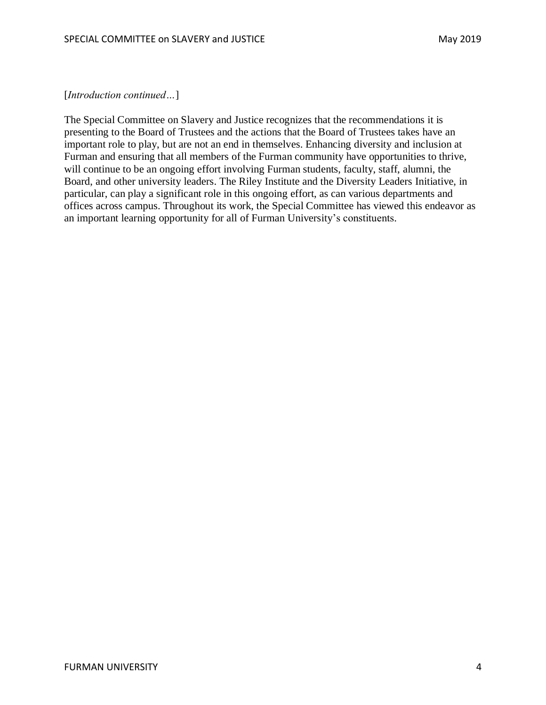[*Introduction continued…*]

The Special Committee on Slavery and Justice recognizes that the recommendations it is presenting to the Board of Trustees and the actions that the Board of Trustees takes have an important role to play, but are not an end in themselves. Enhancing diversity and inclusion at Furman and ensuring that all members of the Furman community have opportunities to thrive, will continue to be an ongoing effort involving Furman students, faculty, staff, alumni, the Board, and other university leaders. The Riley Institute and the Diversity Leaders Initiative, in particular, can play a significant role in this ongoing effort, as can various departments and offices across campus. Throughout its work, the Special Committee has viewed this endeavor as an important learning opportunity for all of Furman University's constituents.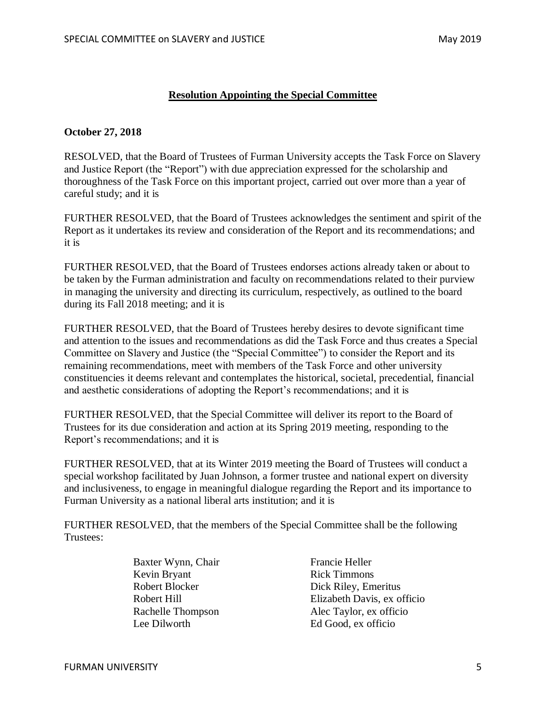#### **Resolution Appointing the Special Committee**

#### **October 27, 2018**

RESOLVED, that the Board of Trustees of Furman University accepts the Task Force on Slavery and Justice Report (the "Report") with due appreciation expressed for the scholarship and thoroughness of the Task Force on this important project, carried out over more than a year of careful study; and it is

FURTHER RESOLVED, that the Board of Trustees acknowledges the sentiment and spirit of the Report as it undertakes its review and consideration of the Report and its recommendations; and it is

FURTHER RESOLVED, that the Board of Trustees endorses actions already taken or about to be taken by the Furman administration and faculty on recommendations related to their purview in managing the university and directing its curriculum, respectively, as outlined to the board during its Fall 2018 meeting; and it is

FURTHER RESOLVED, that the Board of Trustees hereby desires to devote significant time and attention to the issues and recommendations as did the Task Force and thus creates a Special Committee on Slavery and Justice (the "Special Committee") to consider the Report and its remaining recommendations, meet with members of the Task Force and other university constituencies it deems relevant and contemplates the historical, societal, precedential, financial and aesthetic considerations of adopting the Report's recommendations; and it is

FURTHER RESOLVED, that the Special Committee will deliver its report to the Board of Trustees for its due consideration and action at its Spring 2019 meeting, responding to the Report's recommendations; and it is

FURTHER RESOLVED, that at its Winter 2019 meeting the Board of Trustees will conduct a special workshop facilitated by Juan Johnson, a former trustee and national expert on diversity and inclusiveness, to engage in meaningful dialogue regarding the Report and its importance to Furman University as a national liberal arts institution; and it is

FURTHER RESOLVED, that the members of the Special Committee shall be the following Trustees:

> Baxter Wynn, Chair Kevin Bryant Robert Blocker Robert Hill Rachelle Thompson Lee Dilworth

Francie Heller Rick Timmons Dick Riley, Emeritus Elizabeth Davis, ex officio Alec Taylor, ex officio Ed Good, ex officio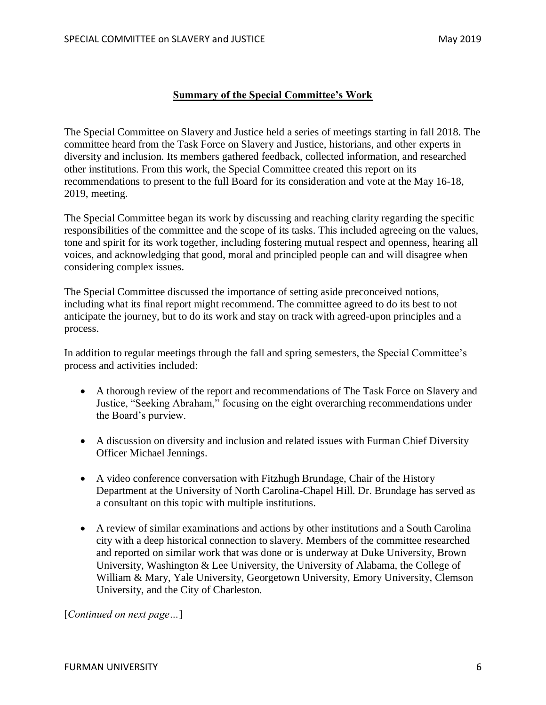#### **Summary of the Special Committee's Work**

The Special Committee on Slavery and Justice held a series of meetings starting in fall 2018. The committee heard from the Task Force on Slavery and Justice, historians, and other experts in diversity and inclusion. Its members gathered feedback, collected information, and researched other institutions. From this work, the Special Committee created this report on its recommendations to present to the full Board for its consideration and vote at the May 16-18, 2019, meeting.

The Special Committee began its work by discussing and reaching clarity regarding the specific responsibilities of the committee and the scope of its tasks. This included agreeing on the values, tone and spirit for its work together, including fostering mutual respect and openness, hearing all voices, and acknowledging that good, moral and principled people can and will disagree when considering complex issues.

The Special Committee discussed the importance of setting aside preconceived notions, including what its final report might recommend. The committee agreed to do its best to not anticipate the journey, but to do its work and stay on track with agreed-upon principles and a process.

In addition to regular meetings through the fall and spring semesters, the Special Committee's process and activities included:

- A thorough review of the report and recommendations of The Task Force on Slavery and Justice, "Seeking Abraham," focusing on the eight overarching recommendations under the Board's purview.
- A discussion on diversity and inclusion and related issues with Furman Chief Diversity Officer Michael Jennings.
- A video conference conversation with Fitzhugh Brundage, Chair of the History Department at the University of North Carolina-Chapel Hill. Dr. Brundage has served as a consultant on this topic with multiple institutions.
- A review of similar examinations and actions by other institutions and a South Carolina city with a deep historical connection to slavery. Members of the committee researched and reported on similar work that was done or is underway at Duke University, Brown University, Washington & Lee University, the University of Alabama, the College of William & Mary, Yale University, Georgetown University, Emory University, Clemson University, and the City of Charleston.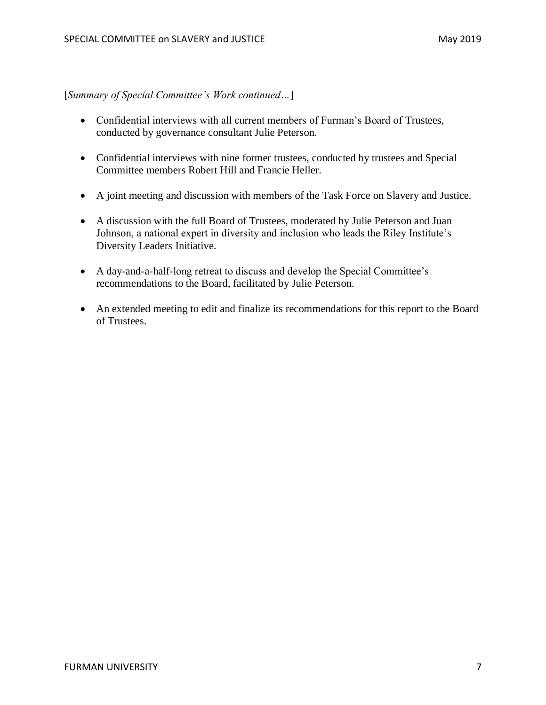[*Summary of Special Committee's Work continued…*]

- Confidential interviews with all current members of Furman's Board of Trustees, conducted by governance consultant Julie Peterson.
- Confidential interviews with nine former trustees, conducted by trustees and Special Committee members Robert Hill and Francie Heller.
- A joint meeting and discussion with members of the Task Force on Slavery and Justice.
- A discussion with the full Board of Trustees, moderated by Julie Peterson and Juan Johnson, a national expert in diversity and inclusion who leads the Riley Institute's Diversity Leaders Initiative.
- A day-and-a-half-long retreat to discuss and develop the Special Committee's recommendations to the Board, facilitated by Julie Peterson.
- An extended meeting to edit and finalize its recommendations for this report to the Board of Trustees.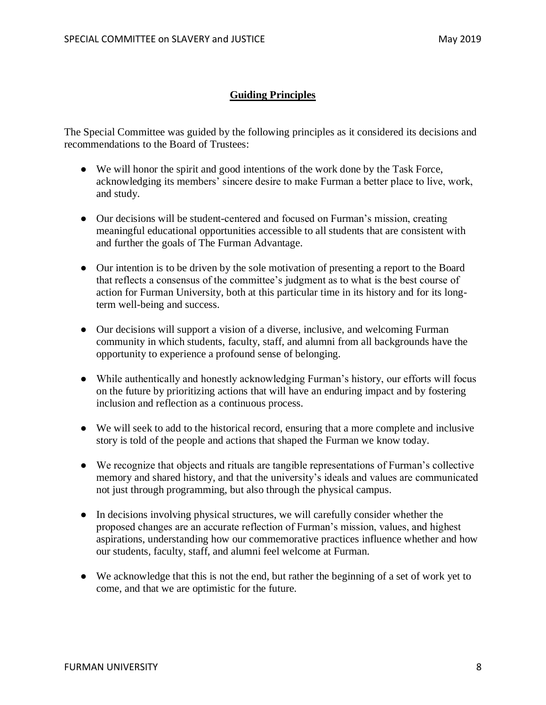#### **Guiding Principles**

The Special Committee was guided by the following principles as it considered its decisions and recommendations to the Board of Trustees:

- We will honor the spirit and good intentions of the work done by the Task Force, acknowledging its members' sincere desire to make Furman a better place to live, work, and study.
- Our decisions will be student-centered and focused on Furman's mission, creating meaningful educational opportunities accessible to all students that are consistent with and further the goals of The Furman Advantage.
- Our intention is to be driven by the sole motivation of presenting a report to the Board that reflects a consensus of the committee's judgment as to what is the best course of action for Furman University, both at this particular time in its history and for its longterm well-being and success.
- Our decisions will support a vision of a diverse, inclusive, and welcoming Furman community in which students, faculty, staff, and alumni from all backgrounds have the opportunity to experience a profound sense of belonging.
- While authentically and honestly acknowledging Furman's history, our efforts will focus on the future by prioritizing actions that will have an enduring impact and by fostering inclusion and reflection as a continuous process.
- We will seek to add to the historical record, ensuring that a more complete and inclusive story is told of the people and actions that shaped the Furman we know today.
- We recognize that objects and rituals are tangible representations of Furman's collective memory and shared history, and that the university's ideals and values are communicated not just through programming, but also through the physical campus.
- In decisions involving physical structures, we will carefully consider whether the proposed changes are an accurate reflection of Furman's mission, values, and highest aspirations, understanding how our commemorative practices influence whether and how our students, faculty, staff, and alumni feel welcome at Furman.
- We acknowledge that this is not the end, but rather the beginning of a set of work yet to come, and that we are optimistic for the future.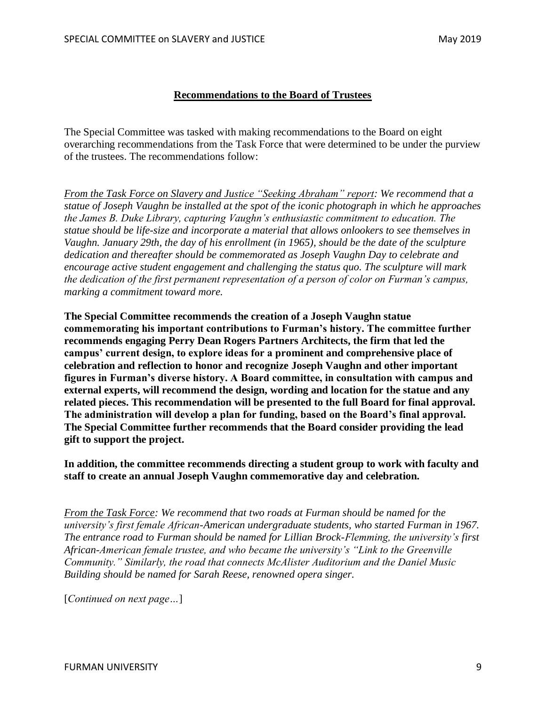#### **Recommendations to the Board of Trustees**

The Special Committee was tasked with making recommendations to the Board on eight overarching recommendations from the Task Force that were determined to be under the purview of the trustees. The recommendations follow:

*From the Task Force on Slavery and Justice "Seeking Abraham" report: We recommend that a statue of Joseph Vaughn be installed at the spot of the iconic photograph in which he approaches the James B. Duke Library, capturing Vaughn's enthusiastic commitment to education. The statue should be life-size and incorporate a material that allows onlookers to see themselves in Vaughn. January 29th, the day of his enrollment (in 1965), should be the date of the sculpture dedication and thereafter should be commemorated as Joseph Vaughn Day to celebrate and encourage active student engagement and challenging the status quo. The sculpture will mark the dedication of the first permanent representation of a person of color on Furman's campus, marking a commitment toward more.*

**The Special Committee recommends the creation of a Joseph Vaughn statue commemorating his important contributions to Furman's history. The committee further recommends engaging Perry Dean Rogers Partners Architects, the firm that led the campus' current design, to explore ideas for a prominent and comprehensive place of celebration and reflection to honor and recognize Joseph Vaughn and other important figures in Furman's diverse history. A Board committee, in consultation with campus and external experts, will recommend the design, wording and location for the statue and any related pieces. This recommendation will be presented to the full Board for final approval. The administration will develop a plan for funding, based on the Board's final approval. The Special Committee further recommends that the Board consider providing the lead gift to support the project.**

**In addition, the committee recommends directing a student group to work with faculty and staff to create an annual Joseph Vaughn commemorative day and celebration.**

*From the Task Force: We recommend that two roads at Furman should be named for the university's first female African-American undergraduate students, who started Furman in 1967. The entrance road to Furman should be named for Lillian Brock-Flemming, the university's first African-American female trustee, and who became the university's "Link to the Greenville Community." Similarly, the road that connects McAlister Auditorium and the Daniel Music Building should be named for Sarah Reese, renowned opera singer.*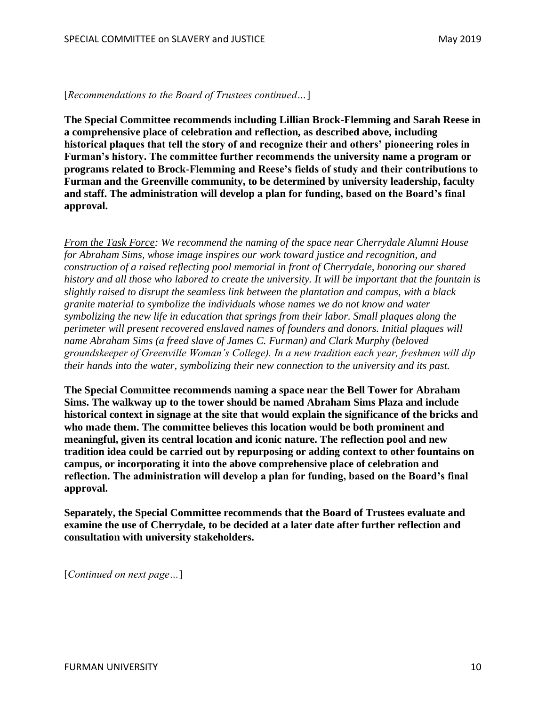**The Special Committee recommends including Lillian Brock-Flemming and Sarah Reese in a comprehensive place of celebration and reflection, as described above, including historical plaques that tell the story of and recognize their and others' pioneering roles in Furman's history. The committee further recommends the university name a program or programs related to Brock-Flemming and Reese's fields of study and their contributions to Furman and the Greenville community, to be determined by university leadership, faculty and staff. The administration will develop a plan for funding, based on the Board's final approval.**

*From the Task Force: We recommend the naming of the space near Cherrydale Alumni House for Abraham Sims, whose image inspires our work toward justice and recognition, and construction of a raised reflecting pool memorial in front of Cherrydale, honoring our shared history and all those who labored to create the university. It will be important that the fountain is slightly raised to disrupt the seamless link between the plantation and campus, with a black granite material to symbolize the individuals whose names we do not know and water symbolizing the new life in education that springs from their labor. Small plaques along the perimeter will present recovered enslaved names of founders and donors. Initial plaques will name Abraham Sims (a freed slave of James C. Furman) and Clark Murphy (beloved groundskeeper of Greenville Woman's College). In a new tradition each year, freshmen will dip their hands into the water, symbolizing their new connection to the university and its past.*

**The Special Committee recommends naming a space near the Bell Tower for Abraham Sims. The walkway up to the tower should be named Abraham Sims Plaza and include historical context in signage at the site that would explain the significance of the bricks and who made them. The committee believes this location would be both prominent and meaningful, given its central location and iconic nature. The reflection pool and new tradition idea could be carried out by repurposing or adding context to other fountains on campus, or incorporating it into the above comprehensive place of celebration and reflection. The administration will develop a plan for funding, based on the Board's final approval.**

**Separately, the Special Committee recommends that the Board of Trustees evaluate and examine the use of Cherrydale, to be decided at a later date after further reflection and consultation with university stakeholders.**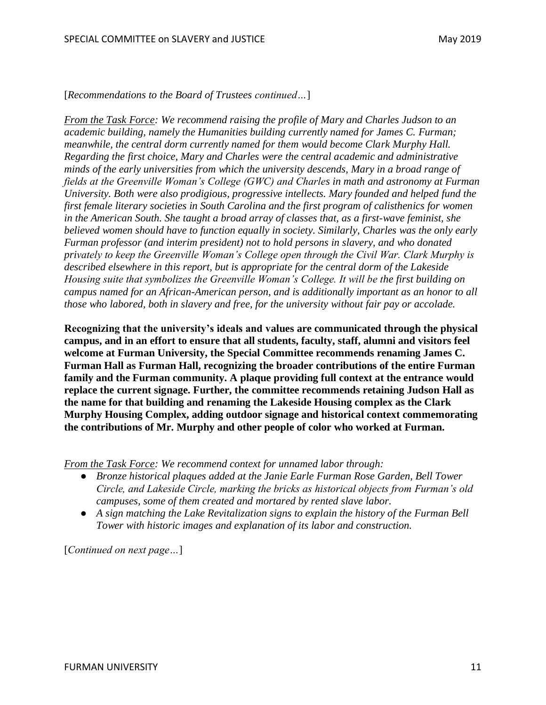*From the Task Force: We recommend raising the profile of Mary and Charles Judson to an academic building, namely the Humanities building currently named for James C. Furman; meanwhile, the central dorm currently named for them would become Clark Murphy Hall. Regarding the first choice, Mary and Charles were the central academic and administrative minds of the early universities from which the university descends, Mary in a broad range of fields at the Greenville Woman's College (GWC) and Charles in math and astronomy at Furman University. Both were also prodigious, progressive intellects. Mary founded and helped fund the first female literary societies in South Carolina and the first program of calisthenics for women in the American South. She taught a broad array of classes that, as a first-wave feminist, she believed women should have to function equally in society. Similarly, Charles was the only early Furman professor (and interim president) not to hold persons in slavery, and who donated privately to keep the Greenville Woman's College open through the Civil War. Clark Murphy is described elsewhere in this report, but is appropriate for the central dorm of the Lakeside Housing suite that symbolizes the Greenville Woman's College. It will be the first building on campus named for an African-American person, and is additionally important as an honor to all those who labored, both in slavery and free, for the university without fair pay or accolade.*

**Recognizing that the university's ideals and values are communicated through the physical campus, and in an effort to ensure that all students, faculty, staff, alumni and visitors feel welcome at Furman University, the Special Committee recommends renaming James C. Furman Hall as Furman Hall, recognizing the broader contributions of the entire Furman family and the Furman community. A plaque providing full context at the entrance would replace the current signage. Further, the committee recommends retaining Judson Hall as the name for that building and renaming the Lakeside Housing complex as the Clark Murphy Housing Complex, adding outdoor signage and historical context commemorating the contributions of Mr. Murphy and other people of color who worked at Furman.**

*From the Task Force: We recommend context for unnamed labor through:*

- *Bronze historical plaques added at the Janie Earle Furman Rose Garden, Bell Tower Circle, and Lakeside Circle, marking the bricks as historical objects from Furman's old campuses, some of them created and mortared by rented slave labor.*
- *A sign matching the Lake Revitalization signs to explain the history of the Furman Bell Tower with historic images and explanation of its labor and construction.*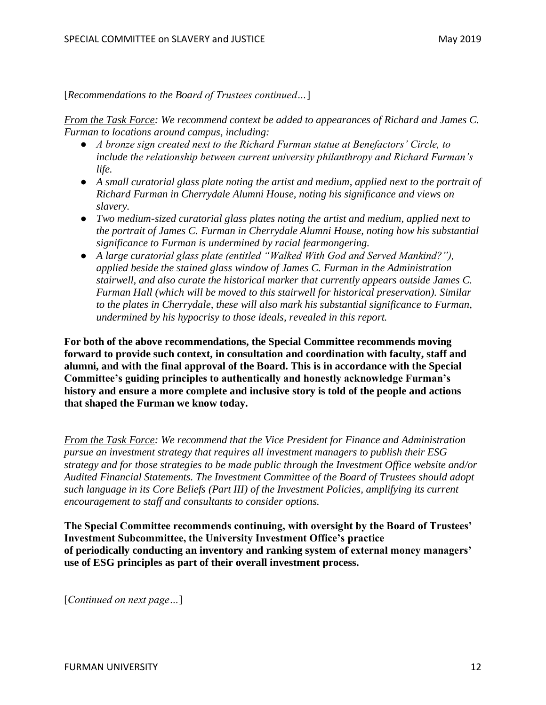*From the Task Force: We recommend context be added to appearances of Richard and James C. Furman to locations around campus, including:*

- *A bronze sign created next to the Richard Furman statue at Benefactors' Circle, to include the relationship between current university philanthropy and Richard Furman's life.*
- *A small curatorial glass plate noting the artist and medium, applied next to the portrait of Richard Furman in Cherrydale Alumni House, noting his significance and views on slavery.*
- *Two medium-sized curatorial glass plates noting the artist and medium, applied next to the portrait of James C. Furman in Cherrydale Alumni House, noting how his substantial significance to Furman is undermined by racial fearmongering.*
- *A large curatorial glass plate (entitled "Walked With God and Served Mankind?"), applied beside the stained glass window of James C. Furman in the Administration stairwell, and also curate the historical marker that currently appears outside James C. Furman Hall (which will be moved to this stairwell for historical preservation). Similar to the plates in Cherrydale, these will also mark his substantial significance to Furman, undermined by his hypocrisy to those ideals, revealed in this report.*

**For both of the above recommendations, the Special Committee recommends moving forward to provide such context, in consultation and coordination with faculty, staff and alumni, and with the final approval of the Board. This is in accordance with the Special Committee's guiding principles to authentically and honestly acknowledge Furman's history and ensure a more complete and inclusive story is told of the people and actions that shaped the Furman we know today.**

*From the Task Force: We recommend that the Vice President for Finance and Administration pursue an investment strategy that requires all investment managers to publish their ESG strategy and for those strategies to be made public through the Investment Office website and/or Audited Financial Statements. The Investment Committee of the Board of Trustees should adopt such language in its Core Beliefs (Part III) of the Investment Policies, amplifying its current encouragement to staff and consultants to consider options.*

**The Special Committee recommends continuing, with oversight by the Board of Trustees' Investment Subcommittee, the University Investment Office's practice of periodically conducting an inventory and ranking system of external money managers' use of ESG principles as part of their overall investment process.**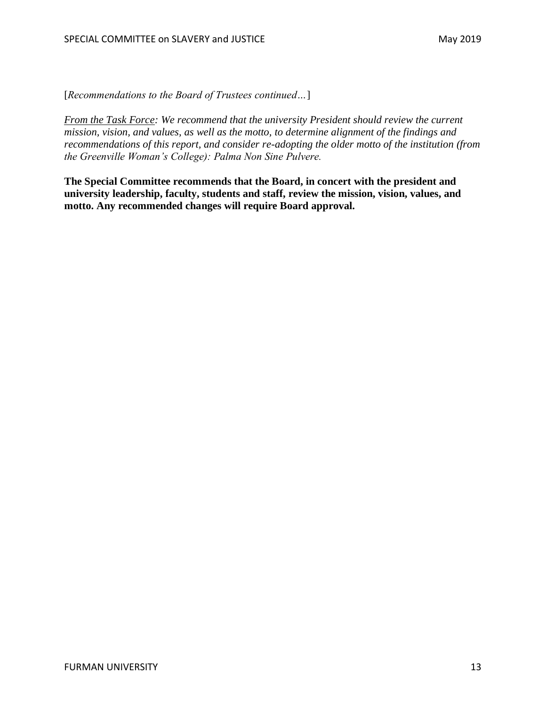*From the Task Force: We recommend that the university President should review the current mission, vision, and values, as well as the motto, to determine alignment of the findings and recommendations of this report, and consider re-adopting the older motto of the institution (from the Greenville Woman's College): Palma Non Sine Pulvere.*

**The Special Committee recommends that the Board, in concert with the president and university leadership, faculty, students and staff, review the mission, vision, values, and motto. Any recommended changes will require Board approval.**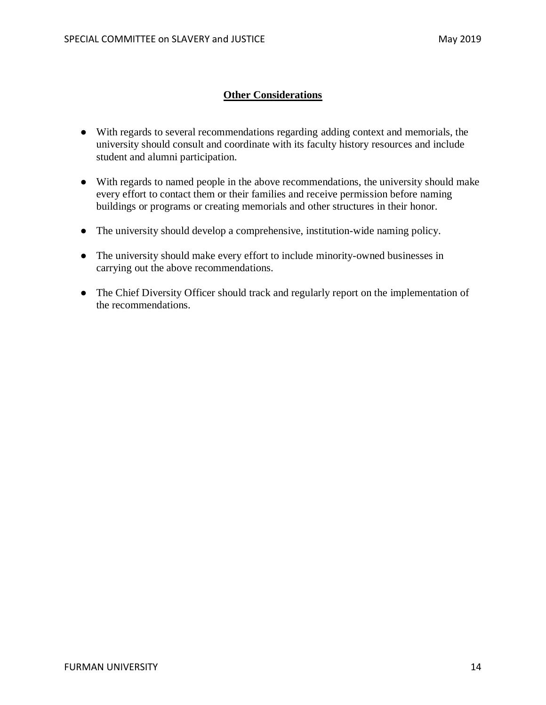### **Other Considerations**

- With regards to several recommendations regarding adding context and memorials, the university should consult and coordinate with its faculty history resources and include student and alumni participation.
- With regards to named people in the above recommendations, the university should make every effort to contact them or their families and receive permission before naming buildings or programs or creating memorials and other structures in their honor.
- The university should develop a comprehensive, institution-wide naming policy.
- The university should make every effort to include minority-owned businesses in carrying out the above recommendations.
- The Chief Diversity Officer should track and regularly report on the implementation of the recommendations.